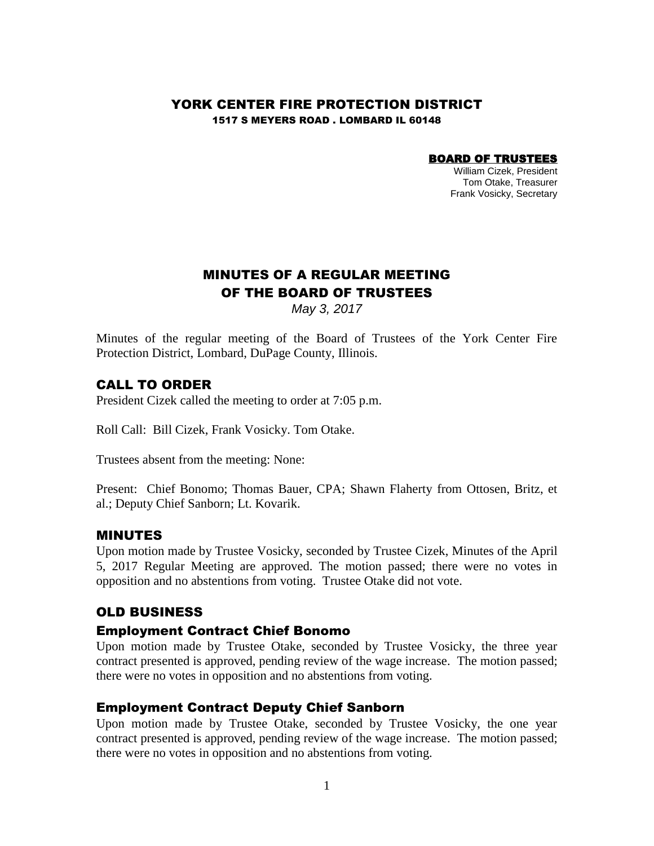### YORK CENTER FIRE PROTECTION DISTRICT

1517 S MEYERS ROAD . LOMBARD IL 60148

#### BOARD OF TRUSTEES

William Cizek, President Tom Otake, Treasurer Frank Vosicky, Secretary

# MINUTES OF A REGULAR MEETING OF THE BOARD OF TRUSTEES

*May 3, 2017*

Minutes of the regular meeting of the Board of Trustees of the York Center Fire Protection District, Lombard, DuPage County, Illinois.

### CALL TO ORDER

President Cizek called the meeting to order at 7:05 p.m.

Roll Call: Bill Cizek, Frank Vosicky. Tom Otake.

Trustees absent from the meeting: None:

Present: Chief Bonomo; Thomas Bauer, CPA; Shawn Flaherty from Ottosen, Britz, et al.; Deputy Chief Sanborn; Lt. Kovarik.

### MINUTES

Upon motion made by Trustee Vosicky, seconded by Trustee Cizek, Minutes of the April 5, 2017 Regular Meeting are approved. The motion passed; there were no votes in opposition and no abstentions from voting. Trustee Otake did not vote.

### OLD BUSINESS

### Employment Contract Chief Bonomo

Upon motion made by Trustee Otake, seconded by Trustee Vosicky, the three year contract presented is approved, pending review of the wage increase. The motion passed; there were no votes in opposition and no abstentions from voting.

### Employment Contract Deputy Chief Sanborn

Upon motion made by Trustee Otake, seconded by Trustee Vosicky, the one year contract presented is approved, pending review of the wage increase. The motion passed; there were no votes in opposition and no abstentions from voting.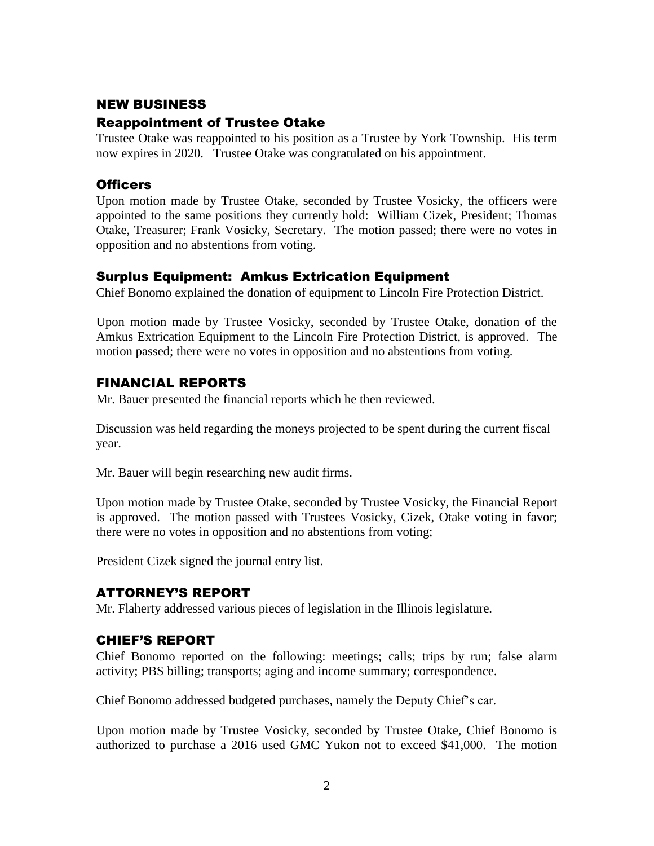## NEW BUSINESS

### Reappointment of Trustee Otake

Trustee Otake was reappointed to his position as a Trustee by York Township. His term now expires in 2020. Trustee Otake was congratulated on his appointment.

## **Officers**

Upon motion made by Trustee Otake, seconded by Trustee Vosicky, the officers were appointed to the same positions they currently hold: William Cizek, President; Thomas Otake, Treasurer; Frank Vosicky, Secretary. The motion passed; there were no votes in opposition and no abstentions from voting.

## Surplus Equipment: Amkus Extrication Equipment

Chief Bonomo explained the donation of equipment to Lincoln Fire Protection District.

Upon motion made by Trustee Vosicky, seconded by Trustee Otake, donation of the Amkus Extrication Equipment to the Lincoln Fire Protection District, is approved. The motion passed; there were no votes in opposition and no abstentions from voting.

## FINANCIAL REPORTS

Mr. Bauer presented the financial reports which he then reviewed.

Discussion was held regarding the moneys projected to be spent during the current fiscal year.

Mr. Bauer will begin researching new audit firms.

Upon motion made by Trustee Otake, seconded by Trustee Vosicky, the Financial Report is approved. The motion passed with Trustees Vosicky, Cizek, Otake voting in favor; there were no votes in opposition and no abstentions from voting;

President Cizek signed the journal entry list.

## ATTORNEY'S REPORT

Mr. Flaherty addressed various pieces of legislation in the Illinois legislature.

## CHIEF'S REPORT

Chief Bonomo reported on the following: meetings; calls; trips by run; false alarm activity; PBS billing; transports; aging and income summary; correspondence.

Chief Bonomo addressed budgeted purchases, namely the Deputy Chief's car.

Upon motion made by Trustee Vosicky, seconded by Trustee Otake, Chief Bonomo is authorized to purchase a 2016 used GMC Yukon not to exceed \$41,000. The motion